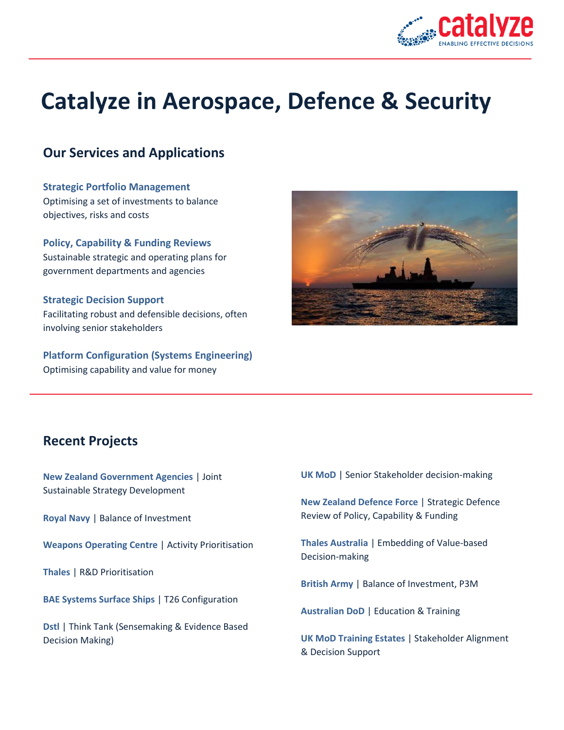

## **Catalyze in Aerospace, Defence & Security**

## **Our Services and Applications**

**Strategic Portfolio Management** Optimising a set of investments to balance objectives, risks and costs

**Policy, Capability & Funding Reviews** Sustainable strategic and operating plans for government departments and agencies

**Strategic Decision Support** Facilitating robust and defensible decisions, often involving senior stakeholders

**Platform Configuration (Systems Engineering)** Optimising capability and value for money



## **Recent Projects**

**New Zealand Government Agencies** | Joint Sustainable Strategy Development

**Royal Navy** | Balance of Investment

**Weapons Operating Centre** | Activity Prioritisation

**Thales** | R&D Prioritisation

**BAE Systems Surface Ships** | T26 Configuration

**Dstl** | Think Tank (Sensemaking & Evidence Based Decision Making)

**UK MoD** | Senior Stakeholder decision-making

**New Zealand Defence Force** | Strategic Defence Review of Policy, Capability & Funding

**Thales Australia** | Embedding of Value-based Decision-making

**British Army** | Balance of Investment, P3M

**Australian DoD** | Education & Training

**UK MoD Training Estates** | Stakeholder Alignment & Decision Support